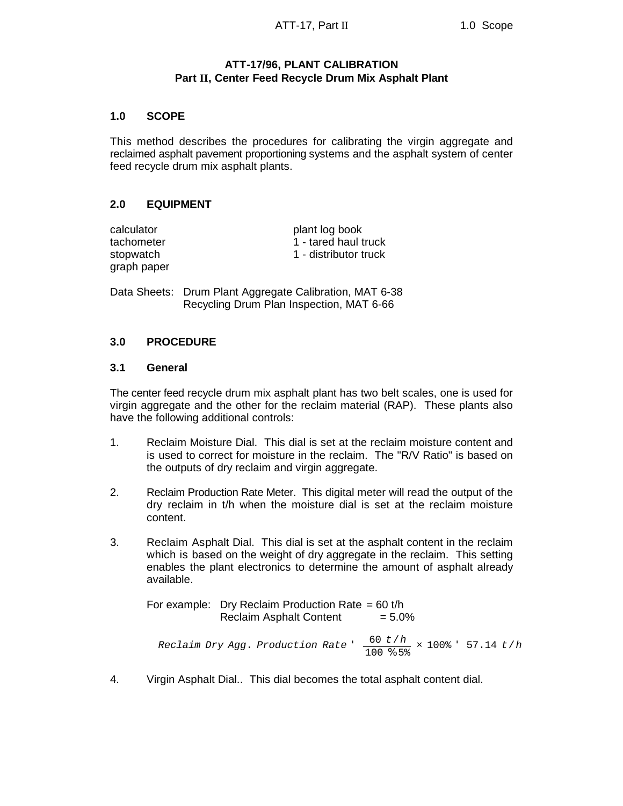# **ATT-17/96, PLANT CALIBRATION Part II, Center Feed Recycle Drum Mix Asphalt Plant**

### **1.0 SCOPE**

This method describes the procedures for calibrating the virgin aggregate and reclaimed asphalt pavement proportioning systems and the asphalt system of center feed recycle drum mix asphalt plants.

# **2.0 EQUIPMENT**

| calculator  |  |
|-------------|--|
| tachometer  |  |
| stopwatch   |  |
| graph paper |  |

plant log book 1 - tared haul truck 1 - distributor truck

Data Sheets: Drum Plant Aggregate Calibration, MAT 6-38 Recycling Drum Plan Inspection, MAT 6-66

### **3.0 PROCEDURE**

#### **3.1 General**

The center feed recycle drum mix asphalt plant has two belt scales, one is used for virgin aggregate and the other for the reclaim material (RAP). These plants also have the following additional controls:

- 1. Reclaim Moisture Dial. This dial is set at the reclaim moisture content and is used to correct for moisture in the reclaim. The "R/V Ratio" is based on the outputs of dry reclaim and virgin aggregate.
- 2. Reclaim Production Rate Meter. This digital meter will read the output of the dry reclaim in t/h when the moisture dial is set at the reclaim moisture content.
- 3. Reclaim Asphalt Dial. This dial is set at the asphalt content in the reclaim which is based on the weight of dry aggregate in the reclaim. This setting enables the plant electronics to determine the amount of asphalt already available.

For example: Dry Reclaim Production Rate =  $60$  t/h  $Reclaim$  Asphalt Content  $= 5.0\%$ 

*Reclaim Dry Agg*. *Production Rate* ' 60 *t*/*h*  $\frac{30 \text{ C}/\text{h}}{100 \text{ % } 5\text{°}}$  × 100% <sup>5</sup> 57.14 *t*/*h* 

4. Virgin Asphalt Dial.. This dial becomes the total asphalt content dial.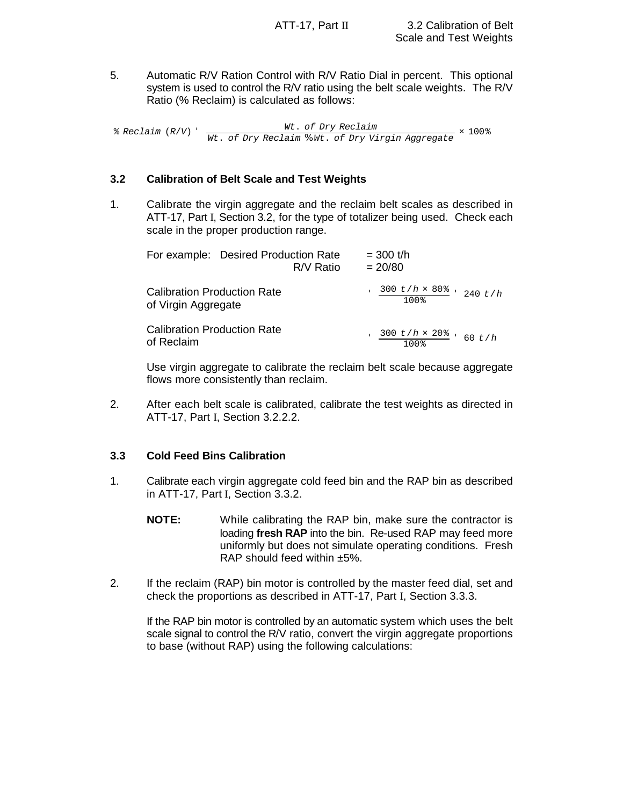5. Automatic R/V Ration Control with R/V Ratio Dial in percent. This optional system is used to control the R/V ratio using the belt scale weights. The R/V Ratio (% Reclaim) is calculated as follows:

% *Reclaim* (*R*/*V*) ' *Wt*. *of Dry Reclaim Wt*. *of Dry Reclaim* % *Wt*. *of Dry Virgin Aggregate* × 100%

### **3.2 Calibration of Belt Scale and Test Weights**

1. Calibrate the virgin aggregate and the reclaim belt scales as described in ATT-17, Part I, Section 3.2, for the type of totalizer being used. Check each scale in the proper production range.

| For example: Desired Production Rate                      | R/V Ratio | $= 300$ t/h<br>$= 20/80$ |      |  |                                                       |
|-----------------------------------------------------------|-----------|--------------------------|------|--|-------------------------------------------------------|
| <b>Calibration Production Rate</b><br>of Virgin Aggregate |           |                          | 100% |  | $\frac{300 \frac{t}{h} \times 80\%}{240 \frac{t}{h}}$ |
| <b>Calibration Production Rate</b><br>of Reclaim          |           |                          |      |  | $\frac{300 \ t/h \times 20\%}{100\%}$ 60 t/h          |

Use virgin aggregate to calibrate the reclaim belt scale because aggregate flows more consistently than reclaim.

2. After each belt scale is calibrated, calibrate the test weights as directed in ATT-17, Part I, Section 3.2.2.2.

### **3.3 Cold Feed Bins Calibration**

- 1. Calibrate each virgin aggregate cold feed bin and the RAP bin as described in ATT-17, Part I, Section 3.3.2.
	- **NOTE:** While calibrating the RAP bin, make sure the contractor is loading **fresh RAP** into the bin. Re-used RAP may feed more uniformly but does not simulate operating conditions. Fresh RAP should feed within ±5%.
- 2. If the reclaim (RAP) bin motor is controlled by the master feed dial, set and check the proportions as described in ATT-17, Part I, Section 3.3.3.

If the RAP bin motor is controlled by an automatic system which uses the belt scale signal to control the R/V ratio, convert the virgin aggregate proportions to base (without RAP) using the following calculations: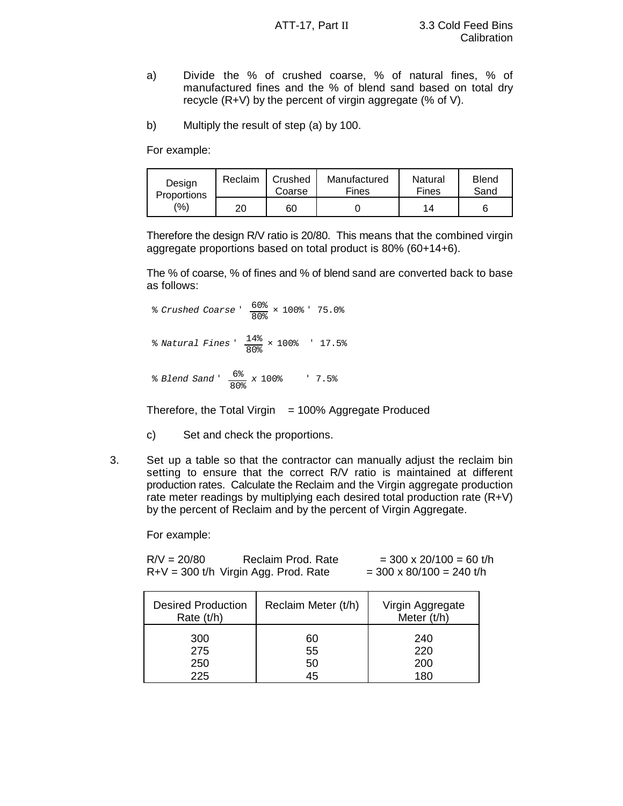- a) Divide the % of crushed coarse, % of natural fines, % of manufactured fines and the % of blend sand based on total dry recycle (R+V) by the percent of virgin aggregate (% of V).
- b) Multiply the result of step (a) by 100.

For example:

| Design             | Reclaim | Crushed | Manufactured | Natural | <b>Blend</b> |
|--------------------|---------|---------|--------------|---------|--------------|
| <b>Proportions</b> |         | Coarse  | <b>Fines</b> | Fines   | Sand         |
| (9/6)              | 20      | 60      |              | 14      |              |

Therefore the design R/V ratio is 20/80. This means that the combined virgin aggregate proportions based on total product is 80% (60+14+6).

The % of coarse, % of fines and % of blend sand are converted back to base as follows:

% *Crushed Coarse* ' 60%  $\frac{600\%}{80\%}$  × 100% ' 75.0% % *Natural Fines* ' 14%  $\frac{170}{80\%}$  × 100%  $\frac{17.5\%}{80\%}$ % *Blend Sand* ' 6%  $\frac{0.8}{80\%}$  x 100%  $\frac{1}{80\%}$  7.5%

Therefore, the Total Virgin  $= 100\%$  Aggregate Produced

- c) Set and check the proportions.
- 3. Set up a table so that the contractor can manually adjust the reclaim bin setting to ensure that the correct R/V ratio is maintained at different production rates. Calculate the Reclaim and the Virgin aggregate production rate meter readings by multiplying each desired total production rate (R+V) by the percent of Reclaim and by the percent of Virgin Aggregate.

For example:

 $R/V = 20/80$  Reclaim Prod. Rate  $= 300 \times 20/100 = 60$  t/h  $R+V = 300$  t/h Virgin Agg. Prod. Rate =  $300 \times 80/100 = 240$  t/h

| <b>Desired Production</b><br>Rate (t/h) | Reclaim Meter (t/h) | Virgin Aggregate<br>Meter (t/h) |
|-----------------------------------------|---------------------|---------------------------------|
| 300                                     | 60                  | 240                             |
| 275                                     | 55                  | 220                             |
| 250                                     | 50                  | 200                             |
| 225                                     | 45                  | 180                             |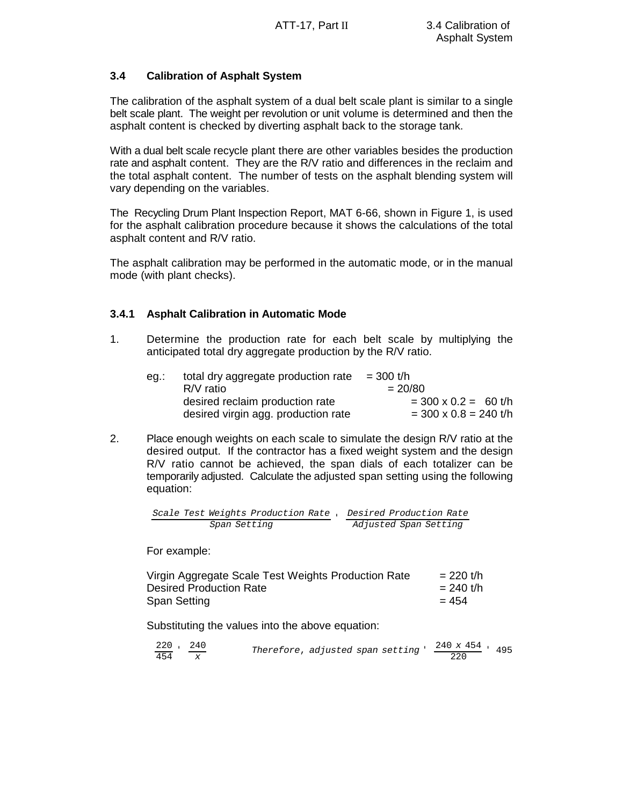# **3.4 Calibration of Asphalt System**

The calibration of the asphalt system of a dual belt scale plant is similar to a single belt scale plant. The weight per revolution or unit volume is determined and then the asphalt content is checked by diverting asphalt back to the storage tank.

With a dual belt scale recycle plant there are other variables besides the production rate and asphalt content. They are the R/V ratio and differences in the reclaim and the total asphalt content. The number of tests on the asphalt blending system will vary depending on the variables.

The Recycling Drum Plant Inspection Report, MAT 6-66, shown in Figure 1, is used for the asphalt calibration procedure because it shows the calculations of the total asphalt content and R/V ratio.

The asphalt calibration may be performed in the automatic mode, or in the manual mode (with plant checks).

# **3.4.1 Asphalt Calibration in Automatic Mode**

1. Determine the production rate for each belt scale by multiplying the anticipated total dry aggregate production by the R/V ratio.

| eq.: | total dry aggregate production rate | $=$ 300 t/h             |
|------|-------------------------------------|-------------------------|
|      | $R/V$ ratio                         | $= 20/80$               |
|      | desired reclaim production rate     | $=$ 300 x 0.2 = 60 t/h  |
|      | desired virgin agg. production rate | $=$ 300 x 0.8 = 240 t/h |

2. Place enough weights on each scale to simulate the design R/V ratio at the desired output. If the contractor has a fixed weight system and the design R/V ratio cannot be achieved, the span dials of each totalizer can be temporarily adjusted. Calculate the adjusted span setting using the following equation:

*Scale Test Weights Production Rate* '*Desired Production Rate Span Setting Adjusted Span Setting*

For example:

| Virgin Aggregate Scale Test Weights Production Rate | $= 220$ t/h |
|-----------------------------------------------------|-------------|
| Desired Production Rate                             | $= 240$ t/h |
| Span Setting                                        | $= 454$     |

Substituting the values into the above equation:

| 220 , 240 | Therefore, adjusted span setting ' | $\frac{240 \times 454}{495}$ . |  |
|-----------|------------------------------------|--------------------------------|--|
| 454       |                                    |                                |  |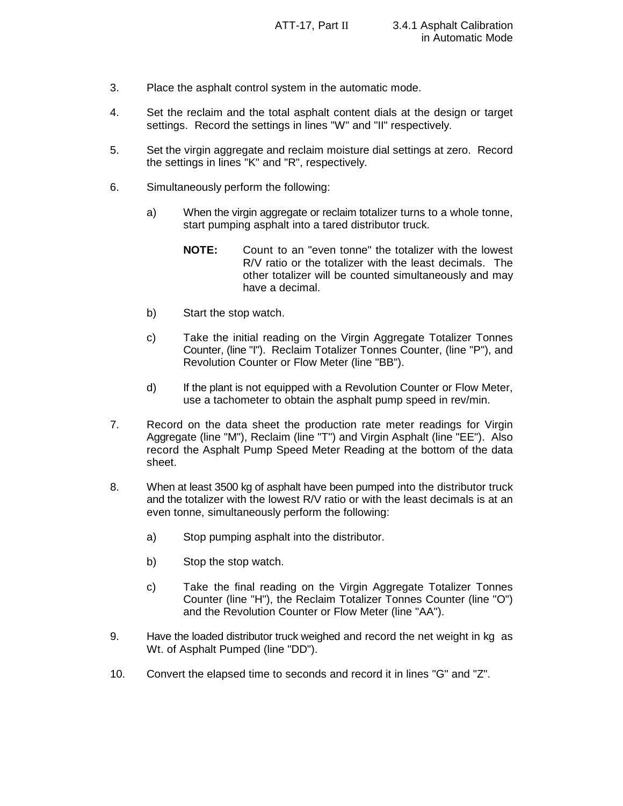- 3. Place the asphalt control system in the automatic mode.
- 4. Set the reclaim and the total asphalt content dials at the design or target settings. Record the settings in lines "W" and "II" respectively.
- 5. Set the virgin aggregate and reclaim moisture dial settings at zero. Record the settings in lines "K" and "R", respectively.
- 6. Simultaneously perform the following:
	- a) When the virgin aggregate or reclaim totalizer turns to a whole tonne, start pumping asphalt into a tared distributor truck.
		- **NOTE:** Count to an "even tonne" the totalizer with the lowest R/V ratio or the totalizer with the least decimals. The other totalizer will be counted simultaneously and may have a decimal.
	- b) Start the stop watch.
	- c) Take the initial reading on the Virgin Aggregate Totalizer Tonnes Counter, (line "I"). Reclaim Totalizer Tonnes Counter, (line "P"), and Revolution Counter or Flow Meter (line "BB").
	- d) If the plant is not equipped with a Revolution Counter or Flow Meter, use a tachometer to obtain the asphalt pump speed in rev/min.
- 7. Record on the data sheet the production rate meter readings for Virgin Aggregate (line "M"), Reclaim (line "T") and Virgin Asphalt (line "EE"). Also record the Asphalt Pump Speed Meter Reading at the bottom of the data sheet.
- 8. When at least 3500 kg of asphalt have been pumped into the distributor truck and the totalizer with the lowest R/V ratio or with the least decimals is at an even tonne, simultaneously perform the following:
	- a) Stop pumping asphalt into the distributor.
	- b) Stop the stop watch.
	- c) Take the final reading on the Virgin Aggregate Totalizer Tonnes Counter (line "H"), the Reclaim Totalizer Tonnes Counter (line "O") and the Revolution Counter or Flow Meter (line "AA").
- 9. Have the loaded distributor truck weighed and record the net weight in kg as Wt. of Asphalt Pumped (line "DD").
- 10. Convert the elapsed time to seconds and record it in lines "G" and "Z".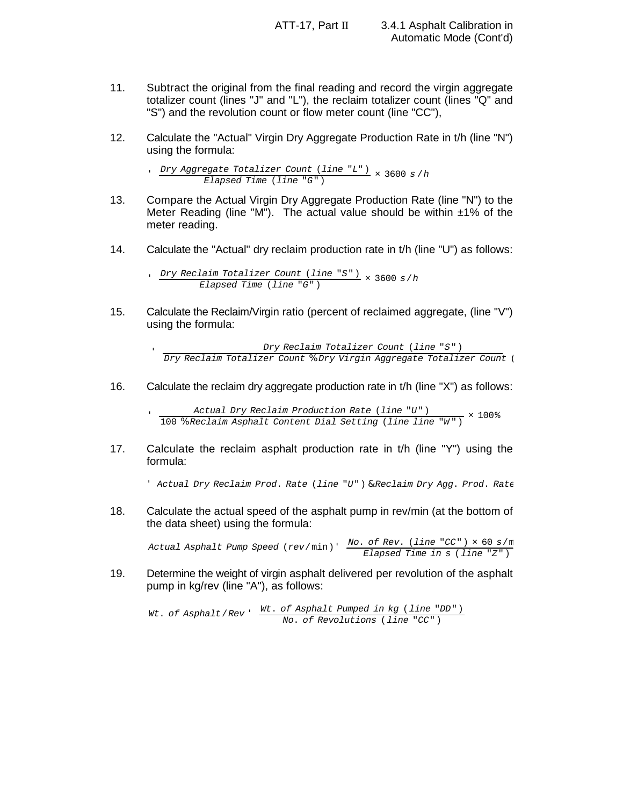- 11. Subtract the original from the final reading and record the virgin aggregate totalizer count (lines "J" and "L"), the reclaim totalizer count (lines "Q" and "S") and the revolution count or flow meter count (line "CC"),
- 12. Calculate the "Actual" Virgin Dry Aggregate Production Rate in t/h (line "N") using the formula:

' *Dry Aggregate Totalizer Count* (*line* "*L*") *Elapsed Time* (*line* "*G*") × 3600 *s* /*h*

- 13. Compare the Actual Virgin Dry Aggregate Production Rate (line "N") to the Meter Reading (line "M"). The actual value should be within  $\pm 1\%$  of the meter reading.
- 14. Calculate the "Actual" dry reclaim production rate in t/h (line "U") as follows:

' *Dry Reclaim Totalizer Count* (*line* "*S*") *Elapsed Time* (*line* "*G*") × 3600 *s*/*h*

15. Calculate the Reclaim/Virgin ratio (percent of reclaimed aggregate, (line "V") using the formula:

> *Dry Reclaim Totalizer Count* (*line* "*S*") *Dry Reclaim Totalizer Count* % *Dry Virgin Aggregate Totalizer Count* (

16. Calculate the reclaim dry aggregate production rate in t/h (line "X") as follows:

 *Actual Dry Reclaim Production Rate* (*line* "*U*") 100 % *Reclaim Asphalt Content Dial Setting* (*line line* "*W* ") × 100%

17. Calculate the reclaim asphalt production rate in t/h (line "Y") using the formula:

' *Actual Dry Reclaim Prod*. *Rate* (*line* "*U*") & *Reclaim Dry Agg*. *Prod*. *Rate*

18. Calculate the actual speed of the asphalt pump in rev/min (at the bottom of the data sheet) using the formula:

*Actual Asphalt Pump Speed* (*rev*/min) ' *No*. *of Rev*. (*line* "*CC*") × 60 *s*/min *Elapsed Time in s* (*line* "*Z*")

19. Determine the weight of virgin asphalt delivered per revolution of the asphalt pump in kg/rev (line "A"), as follows:

*Wt*. *of Asphalt*/*Rev* ' *Wt*. *of Asphalt Pumped in kg* (*line* "*DD*") *No*. *of Revolutions* (*line* "*CC*")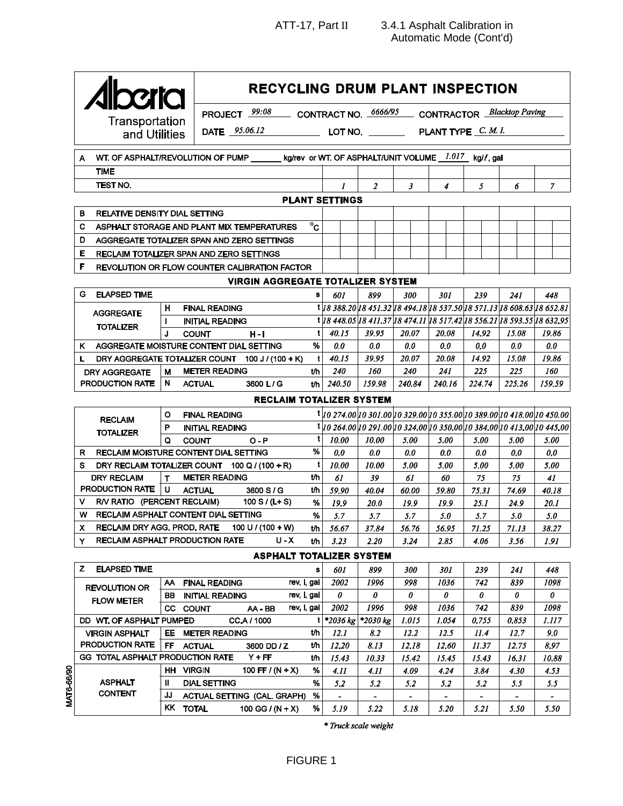**RECYCLING DRUM PLANT INSPECTION** CONTRACT NO. 6666/95 CONTRACTOR Blacktop Paving PROJECT 99:08 Transportat**i**on DATE 95.06.12 PLANT TYPE C. M. I. and Utilities LOT NO. kg/rev or WT. OF ASPHALT/UNIT VOLUME 1.017 kg//, gal WT. OF ASPHALT/REVOLUTION OF PUMP A **TIME** TEST NO.  $\boldsymbol{l}$  $\overline{a}$  $\overline{\mathbf{3}}$  $\overline{4}$  $\overline{5}$ 6  $\overline{7}$ **PLANT SETTINGS** B. RELATIVE DENSITY DIAL SETTING  $\overline{c}$ C. ASPHALT STORAGE AND PLANT MIX TEMPERATURES D AGGREGATE TOTALIZER SPAN AND ZERO SETTINGS E RECLAIM TOTALIZER SPAN AND ZERO SETTINGS F REVOLUTION OR FLOW COUNTER CALIBRATION FACTOR **VIRGIN AGGREGATE TOTALIZER SYSTEM** G. **ELAPSED TIME** s 239 241 448 601 899 300 301 1 18 388.20 18 451.32 18 494.18 18 537.50 18 571.13 18 608.63 18 652.81 н **FINAL READING AGGREGATE INITIAL READING** t | 18 448.05 | 18 411.37 | 18 474.11 | 18 517.42 | 18 556.21 | 18 593.55 | 18 632.95 **TOTALIZER**  $\mathbf{t}$  $40.15$ 39.95 20.07 20.08  $14.92$ 15.08 19.86  $\mathbf{I}$ **COUNT**  $H - I$ K AGGREGATE MOISTURE CONTENT DIAL SETTING %  $0.0$  $0.0$  $0.0$  $0.0$  $0.0$  $0.0$  $0.0$  $\mathbf{L}$ DRY AGGREGATE TOTALIZER COUNT 100 J / (100 + K)  $\mathbf{t}$  $40.15$ 39.95 20.07 20.08 14.92 15.08 19.86 **METER READING** 240 241 225 160 DRY AGGREGATE M t/h 240 160 225 PRODUCTION RATE  ${\sf N}$ 240.16 225.26 **ACTUAL** 3600 L/G  $t/h$ 240.50 159.98 240.84 224.74 159.59 **RECLAIM TOTALIZER SYSTEM** t 10 274.00 10 301.00 10 329.00 10 355.00 10 389.00 10 418.00 10 450.00  $\overline{O}$ **FINAL READING RECLAIM**  $t|$ 10 264.00 10 291.00 10 324.00 10 350.00 10 384.00 10 413.00 10 445.00 P **INITIAL READING TOTALIZER**  $\mathbf{t}$ 10.00 10.00 5.00 5.00 5.00 5.00 Q **COUNT**  $O - P$ 5.00 R RECLAIM MOISTURE CONTENT DIAL SETTING %  $0.0$  $0.0$  $0.0$  $0.0$  $0.0$  $0.0$  $0.0$ S DRY RECLAIM TOTALIZER COUNT  $100 Q / (100 + R)$  $\overline{\mathbf{t}}$ 10.00 10.00 5.00 5.00 5.00 5.00 5.00  $t/h$ **DRY RECLAIM METER READING** 61 39 61 60 75 75 41 T PRODUCTION RATE  $\mathbf{U}$  $t/h$ **ACTUAL** 3600 S/G 59.90 40.04 60.00 59.80 75.31 74.69 40.18  $\mathsf{V}$ R/V RATIO (PERCENT RECLAIM) 100 S / (L+ S)  $%$ 19.9  $20.0$ 19.9  $19.9$  $25.1$  $24.9$  $20.1$ W RECLAIM ASPHALT CONTENT DIAL SETTING %  $5.7$  $5.7$  $5.7$  $5.0$  $5.7$ 5.0  $5.0$ RECLAIM DRY AGG. PROD. RATE 100 U / (100 + W)  $\mathsf{X}$ 56.76 56.95  $71.25$  $71.13$ 38.27 t/h 56.67 37.84 **RECLAIM ASPHALT PRODUCTION RATE**  $3.24$ 2.85 Y.  $U - X$  $t/h$  $3.23$  $2.20$ 4.06 3.56 1.91 **ASPHALT TOTALIZER SYSTEM** Z ELAPSED TIME s 601 800  $300$  $301$ 230  $241$ 448 1036  $\overline{742}$  $\overline{839}$ 1098 rev, I, gal  $\overline{2002}$ 1996 998 AA FINAL READING **REVOLUTION OR** rev, I, gal  $\boldsymbol{\theta}$  $\boldsymbol{\theta}$  $\boldsymbol{\theta}$  $\boldsymbol{\theta}$  $\boldsymbol{\theta}$  $\boldsymbol{\theta}$  $\boldsymbol{\theta}$ **BB INITIAL READING FLOW METER** 1036 742 rev, I, gal 2002 1996 998 839 1098 CC COUNT AA-BB DD WT. OF ASPHALT PUMPED CC A / 1000 \*2036 kg \*2030 kg 1.015 1.054  $0.755$ 0.853 1.117  $\mathbf{t}$ **METER READING VIRGIN ASPHALT** EE.  $t/h$  $12.1$  $8.2$  $12.2$  $12.5$  $11.4$  $12.7$  $9.0$ PRODUCTION RATE **FF** 3600 DD / Z t/h 12.20  $8.13$ 12.18 12.60 11.37 12.75 8.97 **ACTUAL** GG TOTAL ASPHALT PRODUCTION RATE  $Y + FF$ t/h 10.33 15.42 15.45 15.43 16.31 10.88 15.43 HH VIRGIN 100 FF /  $(N + X)$ %  $4.11$  $4.11$ 4.09 4.24  $3.84$ 4.30 4.53 **ASPHALT**  $\mathbf{H}$ **DIAL SETTING** %  $5.5$  $5.2$  $5.2$ 5.2  $5.2$  $5.2$  $5.5$ **CONTENT** JJ ACTUAL SETTING (CAL. GRAPH)  $%$  $\mathbf{r}$  $\mathbb{Z}^2$  $\sim$  $\sim$  $\sim$  $\sim$  $\blacksquare$ **KK TOTAL** 100 GG /  $(N + X)$ % 5.19 5.22 5.18 5.20 5.21 5.50 5.50

\* Truck scale weight

VAT6-66/90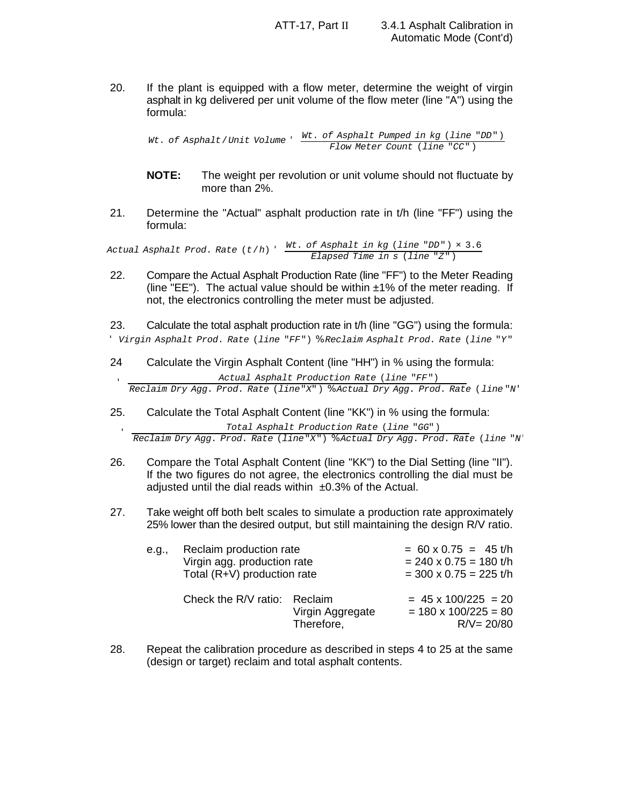20. If the plant is equipped with a flow meter, determine the weight of virgin asphalt in kg delivered per unit volume of the flow meter (line "A") using the formula:

*Wt*. *of Asphalt*/*Unit Volume* ' *Wt*. *of Asphalt Pumped in kg* (*line* "*DD*") *Flow Meter Count* (*line* "*CC*")

- **NOTE:** The weight per revolution or unit volume should not fluctuate by more than 2%.
- 21. Determine the "Actual" asphalt production rate in t/h (line "FF") using the formula:

*Actual Asphalt Prod*. *Rate* (*t*/*h*) ' *Wt*. *of Asphalt in kg* (*line* "*DD*") × 3.6 *Elapsed Time in s* (*line* "*Z*")

22. Compare the Actual Asphalt Production Rate (line "FF") to the Meter Reading (line "EE"). The actual value should be within  $\pm 1\%$  of the meter reading. If not, the electronics controlling the meter must be adjusted.

' *Virgin Asphalt Prod*. *Rate* (*line* "*FF*") % *Reclaim Asphalt Prod*. *Rate* (*line* "*Y*" 23. Calculate the total asphalt production rate in t/h (line "GG") using the formula:

24 Calculate the Virgin Asphalt Content (line "HH") in % using the formula:

*Actual Asphalt Production Rate* (*line* "*FF*") *Reclaim Dry Agg*. *Prod*. *Rate* (*line*"*X*") % *Actual Dry Agg*. *Prod*. *Rate* (*line* "*N*"

25. Calculate the Total Asphalt Content (line "KK") in % using the formula:

*Total Asphalt Production Rate* (*line* "*GG*") *Reclaim Dry Agg*. *Prod*. *Rate* (*line*"*X*") % *Actual Dry Agg*. *Prod*. *Rate* (*line* "*N*"

- 26. Compare the Total Asphalt Content (line "KK") to the Dial Setting (line "II"). If the two figures do not agree, the electronics controlling the dial must be adjusted until the dial reads within  $\pm 0.3\%$  of the Actual.
- 27. Take weight off both belt scales to simulate a production rate approximately 25% lower than the desired output, but still maintaining the design R/V ratio.

| e.a., | Reclaim production rate<br>Virgin agg. production rate<br>Total (R+V) production rate |                                | $= 60 \times 0.75 = 45$ t/h<br>$= 240 \times 0.75 = 180$ t/h<br>$=$ 300 x 0.75 = 225 t/h |
|-------|---------------------------------------------------------------------------------------|--------------------------------|------------------------------------------------------------------------------------------|
|       | Check the R/V ratio: Reclaim                                                          | Virgin Aggregate<br>Therefore, | $= 45 \times 100/225 = 20$<br>$= 180 \times 100/225 = 80$<br>$R/V = 20/80$               |

28. Repeat the calibration procedure as described in steps 4 to 25 at the same (design or target) reclaim and total asphalt contents.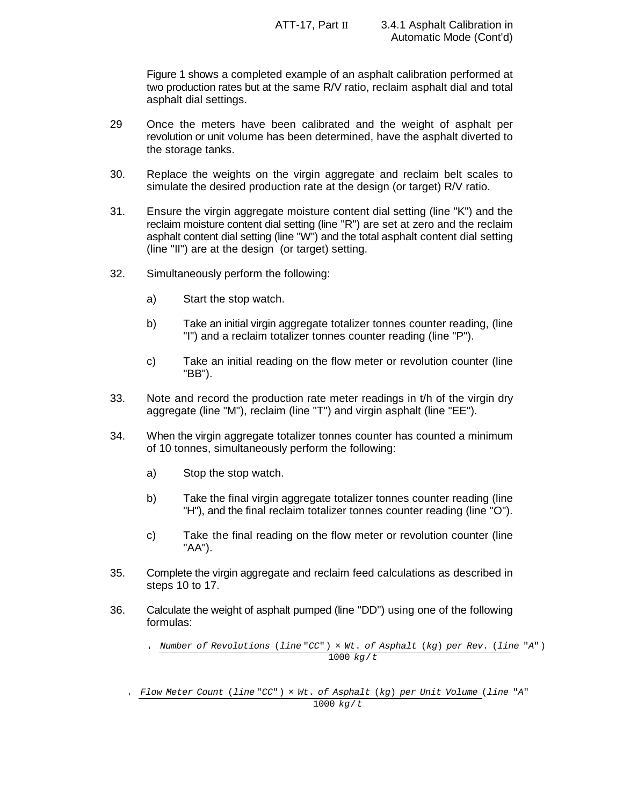Figure 1 shows a completed example of an asphalt calibration performed at two production rates but at the same R/V ratio, reclaim asphalt dial and total asphalt dial settings.

- 29 Once the meters have been calibrated and the weight of asphalt per revolution or unit volume has been determined, have the asphalt diverted to the storage tanks.
- 30. Replace the weights on the virgin aggregate and reclaim belt scales to simulate the desired production rate at the design (or target) R/V ratio.
- 31. Ensure the virgin aggregate moisture content dial setting (line "K") and the reclaim moisture content dial setting (line "R") are set at zero and the reclaim asphalt content dial setting (line "W") and the total asphalt content dial setting (line "II") are at the design (or target) setting.
- 32. Simultaneously perform the following:
	- a) Start the stop watch.
	- b) Take an initial virgin aggregate totalizer tonnes counter reading, (line "I") and a reclaim totalizer tonnes counter reading (line "P").
	- c) Take an initial reading on the flow meter or revolution counter (line "BB").
- 33. Note and record the production rate meter readings in t/h of the virgin dry aggregate (line "M"), reclaim (line "T") and virgin asphalt (line "EE").
- 34. When the virgin aggregate totalizer tonnes counter has counted a minimum of 10 tonnes, simultaneously perform the following:
	- a) Stop the stop watch.
	- b) Take the final virgin aggregate totalizer tonnes counter reading (line "H"), and the final reclaim totalizer tonnes counter reading (line "O").
	- c) Take the final reading on the flow meter or revolution counter (line "AA").
- 35. Complete the virgin aggregate and reclaim feed calculations as described in steps 10 to 17.
- 36. Calculate the weight of asphalt pumped (line "DD") using one of the following formulas:

'*Number of Revolutions* (*line* "*CC*") × *Wt*. *of Asphalt* (*kg*) *per Rev*. (*line* "*A*") 1000 *kg*/*t*

*Flow Meter Count* (*line* "*CC*") × *Wt*. *of Asphalt* (*kg*) *per Unit Volume* (*line* "*A*" 1000 *kg*/*t*